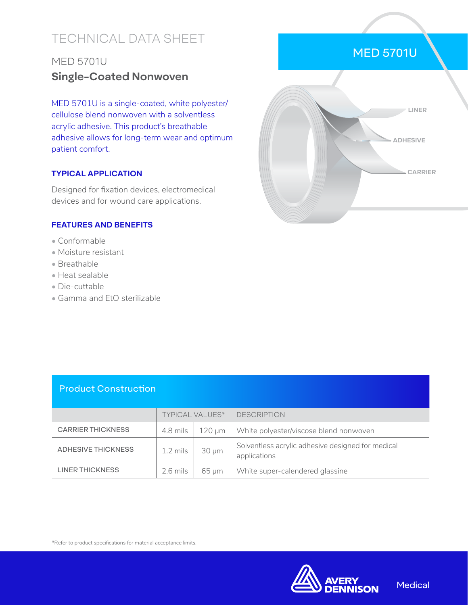# TECHNICAL DATA SHEET

### MED 5701U **Single-Coated Nonwoven**

MED 5701U is a single-coated, white polyester/ cellulose blend nonwoven with a solventless acrylic adhesive. This product's breathable adhesive allows for long-term wear and optimum patient comfort.

#### **TYPICAL APPLICATION**

Designed for fixation devices, electromedical devices and for wound care applications.

#### **FEATURES AND BENEFITS**

- Conformable
- Moisture resistant
- Breathable
- Heat sealable
- Die-cuttable
- Gamma and EtO sterilizable



#### Product Construction

|                           | <b>TYPICAL VALUES*</b> |            | <b>DESCRIPTION</b>                                                |
|---------------------------|------------------------|------------|-------------------------------------------------------------------|
| <b>CARRIER THICKNESS</b>  | 4.8 mils               | 120 um     | White polyester/viscose blend nonwoven                            |
| <b>ADHESIVE THICKNESS</b> | $1.2 \text{ miles}$    | $30 \mu m$ | Solventless acrylic adhesive designed for medical<br>applications |
| <b>LINER THICKNESS</b>    | $2.6$ mils             | 65 um      | White super-calendered glassine                                   |

\*Refer to product specifications for material acceptance limits.